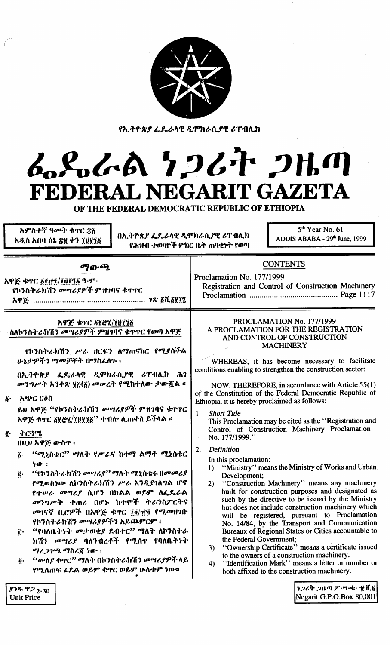

የኢትዮጵያ ፌዴራላዊ ዲሞክራሲያዊ ሪፐብሊክ

# ムSoGA 7267 2HM FEDERAL NEGARIT GAZETA

OF THE FEDERAL DEMOCRATIC REPUBLIC OF ETHIOPIA

በኢትዮጵያ ፌዴራላዊ ዲሞክራሲያዊ ሪፐብሊክ የሕዝብ ተወካዮች ምክር ቤት ጠባቂነት የወጣ

አምስተኛ ዓመት ቁዋር ቋ፩

አዲስ አበባ ሰኔ ጽ፪ ቀን ፲፱፻፺፩

 $5<sup>th</sup>$  Year No. 61 ADDIS ABABA - 29th June, 1999

| <b>ማውጫ</b>                                                                                                                                                                                                                                                                                                                                                                                                                                                                                                                                                                                                                                                                                                                                                                                                                                                                                              | <b>CONTENTS</b>                                                                                                                                                                                                                                                                                                                                                                                                                                                                                                                                                                                                                                                                                                                                                                                                                                                                                                                                                                                                                                                                                                                                                                                                                                                                                                                                                                                                                              |
|---------------------------------------------------------------------------------------------------------------------------------------------------------------------------------------------------------------------------------------------------------------------------------------------------------------------------------------------------------------------------------------------------------------------------------------------------------------------------------------------------------------------------------------------------------------------------------------------------------------------------------------------------------------------------------------------------------------------------------------------------------------------------------------------------------------------------------------------------------------------------------------------------------|----------------------------------------------------------------------------------------------------------------------------------------------------------------------------------------------------------------------------------------------------------------------------------------------------------------------------------------------------------------------------------------------------------------------------------------------------------------------------------------------------------------------------------------------------------------------------------------------------------------------------------------------------------------------------------------------------------------------------------------------------------------------------------------------------------------------------------------------------------------------------------------------------------------------------------------------------------------------------------------------------------------------------------------------------------------------------------------------------------------------------------------------------------------------------------------------------------------------------------------------------------------------------------------------------------------------------------------------------------------------------------------------------------------------------------------------|
| አዋጅ ቁጥር ፩፻፸፺/፲፬፻፺፩ ዓ·ም·                                                                                                                                                                                                                                                                                                                                                                                                                                                                                                                                                                                                                                                                                                                                                                                                                                                                                 | Proclamation No. 177/1999                                                                                                                                                                                                                                                                                                                                                                                                                                                                                                                                                                                                                                                                                                                                                                                                                                                                                                                                                                                                                                                                                                                                                                                                                                                                                                                                                                                                                    |
| የኮንስትራክሽን መሣሪያዎች ምዝገባና ቁጥኖር                                                                                                                                                                                                                                                                                                                                                                                                                                                                                                                                                                                                                                                                                                                                                                                                                                                                             | Registration and Control of Construction Machinery                                                                                                                                                                                                                                                                                                                                                                                                                                                                                                                                                                                                                                                                                                                                                                                                                                                                                                                                                                                                                                                                                                                                                                                                                                                                                                                                                                                           |
|                                                                                                                                                                                                                                                                                                                                                                                                                                                                                                                                                                                                                                                                                                                                                                                                                                                                                                         |                                                                                                                                                                                                                                                                                                                                                                                                                                                                                                                                                                                                                                                                                                                                                                                                                                                                                                                                                                                                                                                                                                                                                                                                                                                                                                                                                                                                                                              |
| አዋጅ ቁጥር ፩፻፸፯/፲፱፻፺፩<br>ስለኮንስትራክሽን መሣሪያዎች ምዝገባና ቁጥኖር የወጣ አዋጅ<br>የኮንስትራክሽን ሥራ ዘርፍን ለማሐናከር የሚያስችል<br>ሁኔታዎችን ማመቻቸት በማስፈለጉ ፡<br>በኢትዮጵያ ፌዴራላዊ ዲሞክራሲያዊ ሪፐብሊክ ሕገ<br>መንግሥት አንቀጽ ፶፫(፩) መሠረት የሚከተለው ታውጇል ።<br><u>አጭር ርዕስ</u><br>$\tilde{\mathbf{b}}$ .<br>ይህ አዋጅ "የኮንስትራክሽን መሣሪያዎች ምዝገባና ቁጥር<br>አዋጅ ቁዋር ፩፻፸፯/፲፬፻፺፩'' ተብሎ ሊጠቀስ ይችላል ።<br>ትርጓሜ<br>ğ.<br>በዚህ አዋጅ ውስዋ ፡<br>"ሚኒስቴር" ማለት የሥራና ከተማ ልማት ሚኒስቴር<br>$\ddot{\mathbf{b}}$ .<br>$b$ $\mathbf{p}$ :<br>''የኮንስትራክሽን መሣሪያ'' ማለት ሚኒስቴሩ በመመሪያ<br>ë.<br>የሚወስነው ለኮንስትራክሽን ሥራ እንዲያነለግል ሆኖ<br>የተሥራ መሣሪያ ሲሆን በክልል ወይም ለፌዴራል<br>መንግሥት ተጠሪ በሆኑ ከተሞች ትራንስፖርትና<br>መገናኛ ቢሮዎች በአዋጅ ቁዋር ፲፬/፹፬ የሚመዘገቡ<br>የኮንስትራክሽን መሣሪያዎችን አይጨምርም ፡<br>"የባለቤትንት መታወቂያ ደብተር" ማለት ለኮንስትራ<br>$\mathbf{i}$<br>ክሽን መሣሪያ ባለንብረቶች የሚሰዋ የባለቤትነት<br>ማረጋገጫ ማስረጃ ነው፡፡<br><i>"መ</i> ለያ ቁዋር" ማለት በኮንስትራክሽን መሣሪያዎች ላይ<br>$\ddot{\mathbf{0}}$ .<br>የሚለጠፍ ፊደል ወይም ቁዋር ወይም ሁለቱም ነው።<br>69892230<br><b>Unit Price</b> | PROCLAMATION No. 177/1999<br>A PROCLAMATION FOR THE REGISTRATION<br>AND CONTROL OF CONSTRUCTION<br><b>MACHINERY</b><br>WHEREAS, it has become necessary to facilitate<br>conditions enabling to strengthen the construction sector;<br>NOW, THEREFORE, in accordance with Article 55(1)<br>of the Constitution of the Federal Democratic Republic of<br>Ethiopia, it is hereby proclaimed as follows:<br><b>Short Title</b><br>1.<br>This Proclamation may be cited as the "Registration and<br>Control of Construction Machinery Proclamation<br>No. 177/1999."<br><b>Definition</b><br>2.<br>In this proclamation:<br>"Ministry" means the Ministry of Works and Urban.<br>$\bf{D}$<br>Development;<br>"Construction Machinery" means any machinery<br>2)<br>built for construction purposes and designated as<br>such by the directive to be issued by the Ministry<br>but does not include construction machinery which<br>will be registered, pursuant to Proclamation<br>No. 14/84, by the Transport and Communication<br>Bureaux of Regional States or Cities accountable to<br>the Federal Government;<br>"Ownership Certificate" means a certificate issued<br>3)<br>to the owners of a construction machinery.<br>"Identification Mark" means a letter or number or<br>4)<br>both affixed to the construction machinery.<br>ንጋሪት ጋዜጣ ፖ $\cdot$ ሣ $\cdot$ ቁ $\cdot$ $\left \!\!\left[n\right]\!\right $<br>Negarit G.P.O.Box 80,001 |